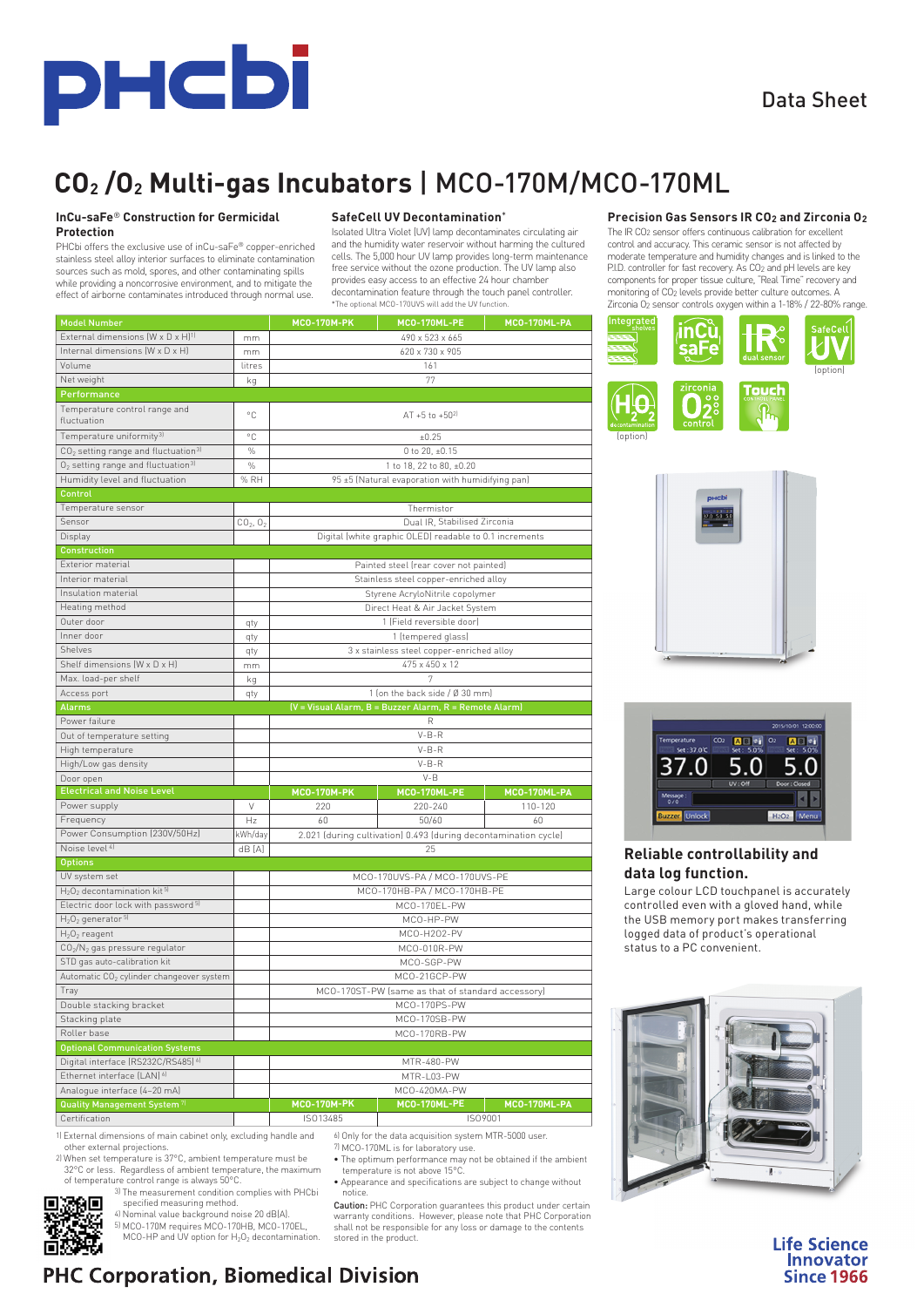

## Data Sheet

# **CO2 /O2 Multi-gas Incubators** | MCO-170M/MCO-170ML

#### **InCu-saFe**® **Construction for Germicidal Protection**

PHCbi offers the exclusive use of inCu-saFe® copper-enriched stainless steel alloy interior surfaces to eliminate contamination sources such as mold, spores, and other contaminating spills while providing a noncorrosive environment, and to mitigate the effect of airborne contaminates introduced through normal use.

#### **SafeCell UV Decontamination**\*

Isolated Ultra Violet (UV) lamp decontaminates circulating air and the humidity water reservoir without harming the cultured cells. The 5,000 hour UV lamp provides long-term maintenance free service without the ozone production. The UV lamp also provides easy access to an effective 24 hour chamber decontamination feature through the touch panel controller. \*The optional MCO-170UVS will add the UV function.

| <b>Model Number</b>                                         |                                  | <b>MCO-170M-PK</b>                                                    | MCO-170ML-PE | MCO-170ML-PA |  |
|-------------------------------------------------------------|----------------------------------|-----------------------------------------------------------------------|--------------|--------------|--|
| External dimensions (W x D x H) <sup>1)</sup>               | mm                               | 490 x 523 x 665                                                       |              |              |  |
| Internal dimensions (W x D x H)                             | mm                               | 620 x 730 x 905                                                       |              |              |  |
| Volume                                                      | litres                           | 161                                                                   |              |              |  |
| Net weight                                                  | kg                               | 77                                                                    |              |              |  |
| Performance                                                 |                                  |                                                                       |              |              |  |
| Temperature control range and<br>fluctuation                | °C                               | AT +5 to +50 <sup>2]</sup>                                            |              |              |  |
| Temperature uniformity <sup>3)</sup>                        | °C                               | ±0.25                                                                 |              |              |  |
| CO <sub>2</sub> setting range and fluctuation <sup>3)</sup> | $\%$                             | 0 to 20, ±0.15                                                        |              |              |  |
| $O2$ setting range and fluctuation <sup>31</sup>            | $\%$                             | 1 to 18, 22 to 80, ±0.20                                              |              |              |  |
| Humidity level and fluctuation                              | % RH                             | 95 ±5 (Natural evaporation with humidifying pan)                      |              |              |  |
| Control                                                     |                                  |                                                                       |              |              |  |
| Temperature sensor                                          |                                  | Thermistor                                                            |              |              |  |
| Sensor                                                      | CO <sub>2</sub> , O <sub>2</sub> | Dual IR, Stabilised Zirconia                                          |              |              |  |
| Display                                                     |                                  | Digital (white graphic OLED) readable to 0.1 increments               |              |              |  |
| <b>Construction</b>                                         |                                  |                                                                       |              |              |  |
| Exterior material                                           |                                  | Painted steel (rear cover not painted)                                |              |              |  |
| Interior material                                           |                                  | Stainless steel copper-enriched alloy                                 |              |              |  |
| Insulation material                                         |                                  | Styrene AcryloNitrile copolymer                                       |              |              |  |
| Heating method                                              |                                  | Direct Heat & Air Jacket System                                       |              |              |  |
| Outer door                                                  | qty                              | 1 (Field reversible door)                                             |              |              |  |
| Inner door                                                  | qty                              | 1 (tempered glass)                                                    |              |              |  |
| Shelves                                                     | qty                              | 3 x stainless steel copper-enriched alloy                             |              |              |  |
| Shelf dimensions (W x D x H)                                | mm                               | 475 x 450 x 12                                                        |              |              |  |
| Max. load-per shelf                                         | kg                               |                                                                       |              |              |  |
| Access port                                                 | qty                              | 1 (on the back side / Ø 30 mm)                                        |              |              |  |
| <b>Alarms</b>                                               |                                  | (V = Visual Alarm, B = Buzzer Alarm, R = Remote Alarm)                |              |              |  |
| Power failure                                               |                                  | R                                                                     |              |              |  |
| Out of temperature setting                                  |                                  | $V-B-R$                                                               |              |              |  |
| High temperature                                            |                                  | $V-B-R$                                                               |              |              |  |
| High/Low gas density                                        |                                  | $V-B-R$                                                               |              |              |  |
| Door open                                                   |                                  | $V - B$                                                               |              |              |  |
| <b>Electrical and Noise Level</b>                           |                                  | <b>MCO-170M-PK</b>                                                    | MCO-170ML-PE | MCO-170ML-PA |  |
| Power supply<br>Frequency                                   | V                                | 220                                                                   | 220-240      | 110-120      |  |
| Power Consumption (230V/50Hz)                               | Hz                               | 60<br>50/60<br>60                                                     |              |              |  |
| Noise level <sup>41</sup>                                   | kWh/day<br>dB [A]                | 2.021 (during cultivation) 0.493 (during decontamination cycle)<br>25 |              |              |  |
| <b>Options</b>                                              |                                  |                                                                       |              |              |  |
| UV system set                                               |                                  | MCO-170UVS-PA / MCO-170UVS-PE                                         |              |              |  |
| $H_2O_2$ decontamination kit <sup>5)</sup>                  |                                  | MCO-170HB-PA / MCO-170HB-PE                                           |              |              |  |
| Electric door lock with password <sup>5)</sup>              |                                  | MCO-170EL-PW                                                          |              |              |  |
| H <sub>2</sub> O <sub>2</sub> generator 51                  |                                  | MCO-HP-PW                                                             |              |              |  |
| $H_2O_2$ reagent                                            |                                  | MCO-H2O2-PV                                                           |              |              |  |
| CO <sub>2</sub> /N <sub>2</sub> gas pressure regulator      |                                  | MCO-010R-PW                                                           |              |              |  |
| STD gas auto-calibration kit                                |                                  | MCO-SGP-PW                                                            |              |              |  |
| Automatic CO <sub>2</sub> cylinder changeover system        |                                  | MCO-21GCP-PW                                                          |              |              |  |
| Tray                                                        |                                  | MCO-170ST-PW (same as that of standard accessory)                     |              |              |  |
| Double stacking bracket                                     |                                  | MCO-170PS-PW                                                          |              |              |  |
| Stacking plate                                              |                                  | MCO-170SB-PW                                                          |              |              |  |
| Roller base                                                 |                                  | MCO-170RB-PW                                                          |              |              |  |
| <b>Optional Communication Systems</b>                       |                                  |                                                                       |              |              |  |
| Digital interface (RS232C/RS485) 61                         |                                  | MTR-480-PW                                                            |              |              |  |
| Ethernet interface (LAN) <sup>6)</sup>                      |                                  | MTR-L03-PW                                                            |              |              |  |
| Analogue interface [4-20 mA]                                |                                  | MCO-420MA-PW                                                          |              |              |  |
| Quality Management System <sup>7]</sup>                     |                                  | <b>MCO-170M-PK</b>                                                    | MCO-170ML-PE | MCO-170ML-PA |  |
| Certification                                               |                                  | ISO13485                                                              | ISO9001      |              |  |

1) External dimensions of main cabinet only, excluding handle and other external projections. 6) Only for the data acquisition system MTR-5000 user. 7) MCO-170ML is for laboratory use.

2) When set temperature is 37°C, ambient temperature must be 32°C or less. Regardless of ambient temperature, the maximum of temperature control range is always 50°C.

3) The measurement condition complies with PHCbi specified measuring method.

魏

4) Nominal value background noise 20 dB(A).

5) MCO-170M requires MCO-170HB, MCO-170EL,<br>MCO-HP and UV option for  $H_2O_2$  decontamination.

• The optimum performance may not be obtained if the ambient temperature is not above 15°C.

• Appearance and specifications are subject to change without notice.

Caution: PHC Corporation guarantees this product under certain warranty conditions. However, please note that PHC Corporation shall not be responsible for any loss or damage to the contents stored in the product.

### **Precision Gas Sensors IR CO2 and Zirconia O2**

The IR CO2 sensor offers continuous calibration for excellent control and accuracy. This ceramic sensor is not affected by moderate temperature and humidity changes and is linked to the P.I.D. controller for fast recovery. As CO<sub>2</sub> and pH levels are key components for proper tissue culture, "Real Time" recovery and monitoring of CO2 levels provide better culture outcomes. A Zirconia O2 sensor controls oxygen within a 1-18% / 22-80% range.







## **Reliable controllability and data log function.**

Large colour LCD touchpanel is accurately controlled even with a gloved hand, while the USB memory port makes transferring logged data of product's operational status to a PC convenient.



**Life Science** Innovator **Since 1966** 

# **PHC Corporation, Biomedical Division**